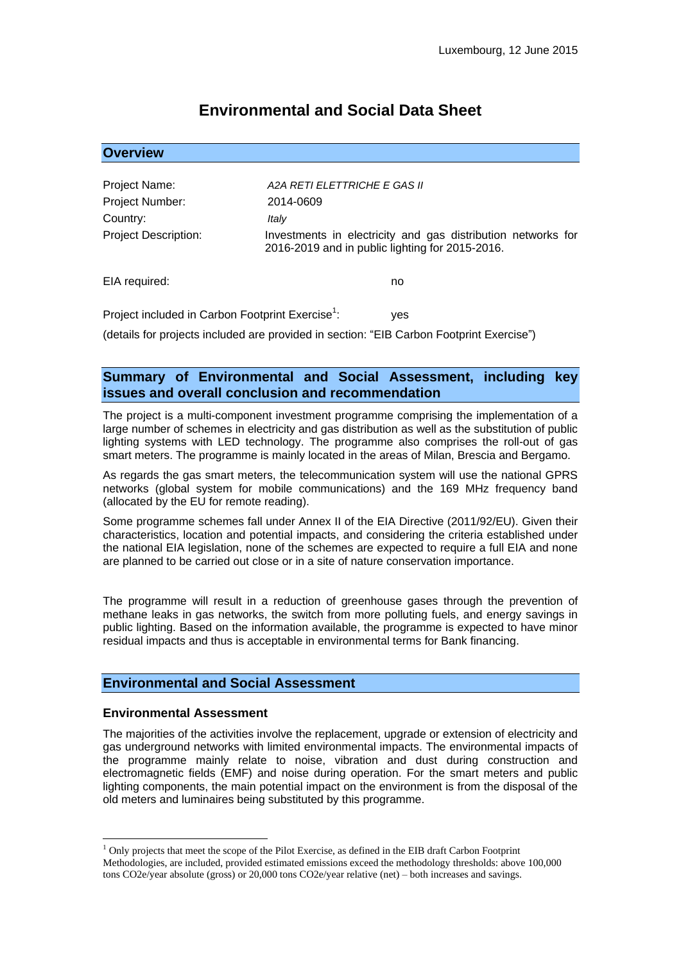# **Environmental and Social Data Sheet**

| <b>Overview</b>             |                                                                                                                 |
|-----------------------------|-----------------------------------------------------------------------------------------------------------------|
|                             |                                                                                                                 |
| Project Name:               | A2A RETI ELETTRICHE E GAS II                                                                                    |
| Project Number:             | 2014-0609                                                                                                       |
| Country:                    | Italy                                                                                                           |
| <b>Project Description:</b> | Investments in electricity and gas distribution networks for<br>2016-2019 and in public lighting for 2015-2016. |
| EIA required:               | no                                                                                                              |

Project included in Carbon Footprint Exercise<sup>1</sup>: ves

(details for projects included are provided in section: "EIB Carbon Footprint Exercise")

# **Summary of Environmental and Social Assessment, including key issues and overall conclusion and recommendation**

The project is a multi-component investment programme comprising the implementation of a large number of schemes in electricity and gas distribution as well as the substitution of public lighting systems with LED technology. The programme also comprises the roll-out of gas smart meters. The programme is mainly located in the areas of Milan, Brescia and Bergamo.

As regards the gas smart meters, the telecommunication system will use the national GPRS networks (global system for mobile communications) and the 169 MHz frequency band (allocated by the EU for remote reading).

Some programme schemes fall under Annex II of the EIA Directive (2011/92/EU). Given their characteristics, location and potential impacts, and considering the criteria established under the national EIA legislation, none of the schemes are expected to require a full EIA and none are planned to be carried out close or in a site of nature conservation importance.

The programme will result in a reduction of greenhouse gases through the prevention of methane leaks in gas networks, the switch from more polluting fuels, and energy savings in public lighting. Based on the information available, the programme is expected to have minor residual impacts and thus is acceptable in environmental terms for Bank financing.

# **Environmental and Social Assessment**

#### **Environmental Assessment**

<u>.</u>

The majorities of the activities involve the replacement, upgrade or extension of electricity and gas underground networks with limited environmental impacts. The environmental impacts of the programme mainly relate to noise, vibration and dust during construction and electromagnetic fields (EMF) and noise during operation. For the smart meters and public lighting components, the main potential impact on the environment is from the disposal of the old meters and luminaires being substituted by this programme.

 $<sup>1</sup>$  Only projects that meet the scope of the Pilot Exercise, as defined in the EIB draft Carbon Footprint</sup> Methodologies, are included, provided estimated emissions exceed the methodology thresholds: above 100,000 tons CO2e/year absolute (gross) or 20,000 tons CO2e/year relative (net) – both increases and savings.